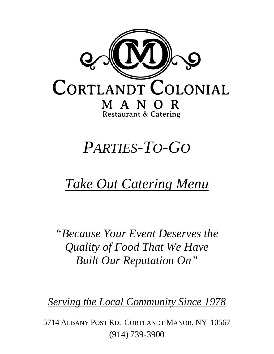

# *PARTIES-TO-GO*

## *Take Out Catering Menu*

*"Because Your Event Deserves the Quality of Food That We Have Built Our Reputation On"*

*Serving the Local Community Since 1978*

5714 ALBANY POST RD. CORTLANDT MANOR, NY 10567 (914) 739-3900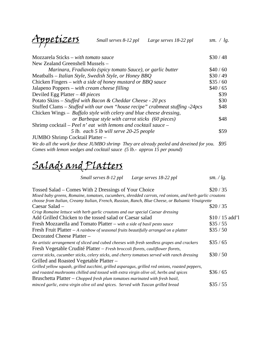Appetizers *Small serves 8-12 ppl Large serves 18-22 ppl sm. / lg.*

| Mozzarela Sticks – with tomato sauce                                                    | \$30/48 |
|-----------------------------------------------------------------------------------------|---------|
| New Zealand Greenshell Mussels -                                                        |         |
| Marinara, Fradiavolo (spicy tomato Sauce), or garlic butter                             | \$40/60 |
| Meatballs – Italian Style, Swedish Style, or Honey BBQ                                  | \$30/49 |
| Chicken Fingers – with a side of honey mustard or BBQ sauce                             | \$35/60 |
| Jalapeno Poppers – with cream cheese filling                                            | \$40/65 |
| Deviled Egg Platter $-48$ pieces                                                        | \$39    |
| Potato Skins – Stuffed with Bacon & Cheddar Cheese - 20 pcs                             | \$30    |
| Stuffed Clams – Stuffed with our own "house recipe" crabmeat stuffing -24pcs            | \$48    |
| Chicken Wings – Buffalo style with celery and blue cheese dressing,                     |         |
| or Barbeque style with carrot sticks (60 pieces)                                        | \$48    |
| Shrimp cocktail – Peel n' eat with lemons and cocktail sauce –                          |         |
| 5 lb. each 5 lb will serve 20-25 people                                                 | \$59    |
| JUMBO Shrimp Cocktail Platter -                                                         |         |
| We do all the work for these JUMBO shrimp They are already peeled and deveined for you. | \$95    |
| Comes with lemon wedges and cocktail sauce (5 lb.- approx 15 per pound)                 |         |

#### Salads and Platters

| Large serves 18-22 ppl | Small serves 8-12 ppl | sm. $\log$ . |
|------------------------|-----------------------|--------------|
|------------------------|-----------------------|--------------|

| Tossed Salad – Comes With 2 Dressings of Your Choice                                                    | \$20/35        |
|---------------------------------------------------------------------------------------------------------|----------------|
| Mixed baby greens, Romaine, tomatoes, cucumbers, shredded carrots, red onions, and herb garlic croutons |                |
| choose from Italian, Creamy Italian, French, Russian, Ranch, Blue Cheese, or Balsamic Vinaigrette       |                |
| Caesar Salad –                                                                                          | \$20/35        |
| Crisp Romaine lettuce with herb garlic croutons and our special Caesar dressing                         |                |
| Add Grilled Chicken to the tossed salad or Caesar salad                                                 | $$10/15$ add'l |
| Fresh Mozzarella and Tomato Platter – with a side of basil pesto sauce                                  | \$35/55        |
| Fresh Fruit Platter $-A$ rainbow of seasonal fruits beautifully arranged on a platter                   | \$35/50        |
| Decorated Cheese Platter -                                                                              |                |
| An artistic arrangement of sliced and cubed cheeses with fresh seedless grapes and crackers             | \$35/65        |
| Fresh Vegetable Crudité Platter - Fresh broccoli florets, cauliflower florets,                          |                |
| carrot sticks, cucumber sticks, celery sticks, and cherry tomatoes served with ranch dressing           | \$30/50        |
| Grilled and Roasted Vegetable Platter –                                                                 |                |
| Grilled yellow squash, grilled zucchini, grilled asparagus, grilled red onions, roasted peppers,        |                |
| and roasted mushrooms chilled and tossed with extra virgin olive oil, herbs and spices                  | \$36/65        |
| Bruschetta Platter $-$ Chopped fresh plum tomatoes marinated with fresh basil,                          |                |
| minced garlic, extra virgin olive oil and spices. Served with Tuscan grilled bread                      | $\$35/55$      |
|                                                                                                         |                |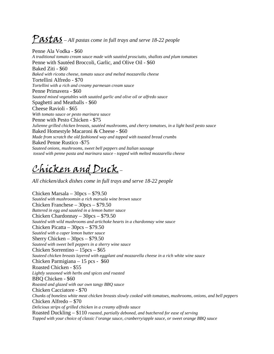#### Pastas – All pastas come in full trays and serve 18-22 people

Penne Ala Vodka - \$60 *A traditional tomato cream sauce made with sautéed prosciutto, shallots and plum tomatoes* Penne with Sautéed Broccoli, Garlic, and Olive Oil - \$60 Baked Ziti - \$60 *Baked with ricotta cheese, tomato sauce and melted mozzarella cheese* Tortellini Alfredo - \$70 *Tortellini with a rich and creamy parmesan cream sauce* Penne Primavera - \$60 *Sauteed mixed vegetables with sautéed garlic and olive oil or alfredo sauce* Spaghetti and Meatballs - \$60 Cheese Ravioli - \$65 *With tomato sauce or pesto marinara sauce* Penne with Pesto Chicken - \$75 *Julienne grilled chicken breasts, sautéed mushrooms, and cherry tomatoes, in a light basil pesto sauce* Baked Homestyle Macaroni & Cheese - \$60 *Made from scratch the old fashioned way and topped with toasted bread crumbs* Baked Penne Rustico -\$75 *Sauteed onions, mushrooms, sweet bell peppers and Italian sausage tossed with penne pasta and marinara sauce - topped with melted mozzarella cheese*

#### Chicken and Duck–

*All chicken/duck dishes come in full trays and serve 18-22 people*

Chicken Marsala – 30pcs – \$79.50 *Sautéed with mushroomsin a rich marsala wine brown sauce* Chicken Franchese – 30pcs – \$79.50 *Battered in egg and sautéed in a lemon butter sauce* Chicken Chardonnay – 30pcs – \$79.50 *Sautéed with wild mushrooms and artichoke hearts in a chardonnay wine sauce* Chicken Picatta – 30pcs – \$79.50 *Sautéed with a caper lemon butter sauce* Sherry Chicken – 30pcs – \$79.50 *Sauteed with sweet bell peppers in a sherry wine sauce* Chicken Sorrentino – 15pcs – \$65 *Sauteed chicken breasts layered with eggplant and mozzarella cheese in a rich white wine sauce* Chicken Parmigiana – 15 pcs - \$60 Roasted Chicken - \$55 *Lightly seasoned with herbs and spices and roasted*  BBQ Chicken - \$60 *Roasted and glazed with our own tangy BBQ sauce* Chicken Cacciatore - \$70 *Chunks of boneless white meat chicken breasts slowly cooked with tomatoes, mushrooms, onions, and bell peppers*  Chicken Alfredo – \$70 *Delicious strips of grilled chicken in a creamy alfredo sauce* Roasted Duckling – \$110 *roasted, partially deboned, and butchered for ease of serving Topped with your choice of classic l'orange sauce, cranberry/apple sauce, or sweet orange BBQ sauce*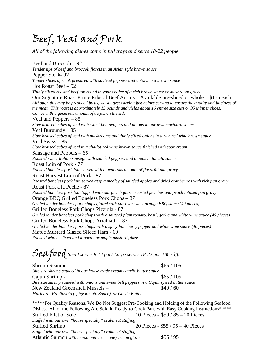Beef, Veal and Pork

*All of the following dishes come in full trays and serve 18-22 people*

Beef and Broccoli – 92 *Tender tips of beef and broccoli florets in an Asian style brown sauce* Pepper Steak- 92 *Tender slices of steak prepared with sautéed peppers and onions in a brown sauce* Hot Roast Beef – 92 *Thinly sliced roasted beef top round in your choice of a rich brown sauce or mushroom gravy* Our Signature Roast Prime Ribs of Beef Au Jus – Available pre-sliced or whole \$155 each *Although this may be presliced by us, we suggest carving just before serving to ensure the quality and juiciness of the meat. This roast is approximately 15 pounds and yields about 16 entrée size cuts or 35 thinner slices. Comes with a generous amount of au jus on the side.* Veal and Peppers – 85 *Slow braised cubes of veal with sweet bell peppers and onions in our own marinara sauce* Veal Burgundy – 85 *Slow braised cubes of veal with mushrooms and thinly sliced onions in a rich red wine brown sauce* Veal Swiss – 85 *Slow braised cubes of veal in a shallot red wine brown sauce finished with sour cream*  Sausage and Peppers – 65 *Roasted sweet Italian sausage with sautéed peppers and onions in tomato sauce*  Roast Loin of Pork - 77 *Roasted boneless pork loin served with a generous amount of flavorful pan gravy* Roast Harvest Loin of Pork - 87 *Roasted boneless pork loin served atop a medley of sautéed apples and dried cranberries with rich pan gravy* Roast Pork a la Peche - 87 *Roasted boneless pork loin topped with our peach glaze, roasted peaches and peach infused pan gravy* Orange BBQ Grilled Boneless Pork Chops – 87 *Grilled tender boneless pork chops glazed with our own sweet orange BBQ sauce (40 pieces)* Grilled Boneless Pork Chops Pizziola - 87 *Grilled tender boneless pork chops with a sauteed plum tomato, basil, garlic and white wine sauce (40 pieces)* Grilled Boneless Pork Chops Arrabiatta - 87 *Grilled tender boneless pork chops with a spicy hot cherry pepper and white wine sauce (40 pieces)* Maple Mustard Glazed Sliced Ham - 60 *Roasted whole, sliced and topped our maple mustard glaze*

Seafood *Small serves 8-12 ppl / Large serves 18-22 ppl sm. / lg.*

 $\frac{\$65}{105}$ *Bite size shrimp sauteed in our house made creamy garlic butter sauce* Cajun Shrimp -  $\frac{$65}{105}$ *Bite size shrimp sautéed with onions and sweet bell peppers in a Cajun spiced butter sauce* New Zealand Greenshell Mussels –  $$40/60$ *Marinara, Fradiavolo (spicy tomato Sauce), or Garlic Butter*

\*\*\*\*\*For Quality Reasons, We Do Not Suggest Pre-Cooking and Holding of the Following Seafood Dishes. All of the Following Are Sold in Ready-to-Cook Pans with Easy Cooking Instructions\*\*\*\*\* Stuffed Filet of Sole 10 Pieces - \$50 / 85 – 20 Pieces *Stuffed with our own "house specialty" crabmeat stuffing* Stuffed Shrimp 20 Pieces - \$55 / 95 – 40 Pieces *Stuffed with our own "house specialty" crabmeat stuffing* Atlantic Salmon *with lemon butter or honey lemon glaze* \$55 / 95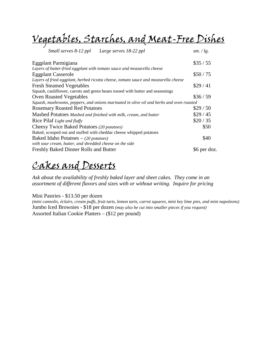Vegetables, Starches, and Meat-Free Dishes

| Small serves 8-12 ppl Large serves 18-22 ppl                                             | sm. $\log$ . |
|------------------------------------------------------------------------------------------|--------------|
| Eggplant Parmigiana                                                                      | \$35/55      |
| Layers of batter-fried eggplant with tomato sauce and mozzarella cheese                  |              |
| <b>Eggplant Casserole</b>                                                                | \$50/75      |
| Layers of fried eggplant, herbed ricotta cheese, tomato sauce and mozzarella cheese      |              |
| <b>Fresh Steamed Vegetables</b>                                                          | \$29/41      |
| Squash, cauliflower, carrots and green beans tossed with butter and seasonings           |              |
| <b>Oven Roasted Vegetables</b>                                                           | \$36/59      |
| Squash, mushrooms, peppers, and onions marinated in olive oil and herbs and oven roasted |              |
| <b>Rosemary Roasted Red Potatoes</b>                                                     | \$29/50      |
| Mashed Potatoes Mashed and finished with milk, cream, and butter                         | \$29/45      |
| Rice Pilaf Light and fluffy                                                              | \$20/35      |
| Cheesy Twice Baked Potatoes (20 potatoes)                                                | \$50         |
| Baked, scooped out and stuffed with cheddar cheese whipped potatoes                      |              |
| Baked Idaho Potatoes $-$ (20 potatoes)                                                   | \$40         |
| with sour cream, butter, and shredded cheese on the side                                 |              |
| Freshly Baked Dinner Rolls and Butter                                                    | \$6 per doz. |

#### Cakes and Desserts

*Ask about the availability of freshly baked layer and sheet cakes. They come in an assortment of different flavors and sizes with or without writing. Inquire for pricing*

Mini Pastries - \$13.50 per dozen

*(mini cannolis, éclairs, cream puffs, fruit tarts, lemon tarts, carrot squares, mini key lime pies, and mini napoleons)* Jumbo Iced Brownies - \$18 per dozen *(may also be cut into smaller pieces if you request)* Assorted Italian Cookie Platters – (\$12 per pound)